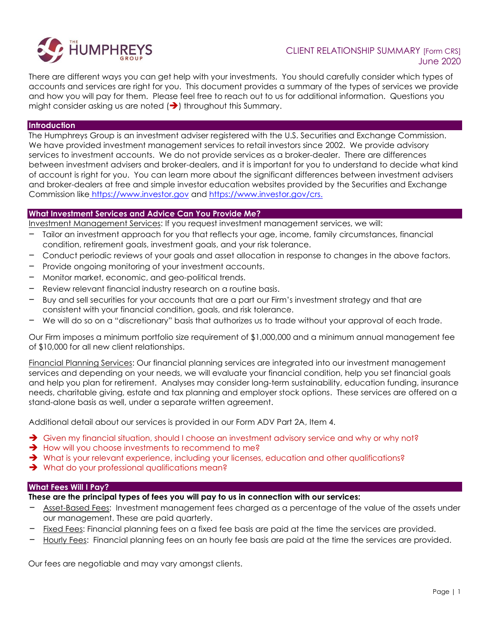

# CLIENT RELATIONSHIP SUMMARY [Form CRS] June 2020

There are different ways you can get help with your investments. You should carefully consider which types of accounts and services are right for you. This document provides a summary of the types of services we provide and how you will pay for them. Please feel free to reach out to us for additional information. Questions you might consider asking us are noted  $\left(\rightarrow\right)$  throughout this Summary.

#### **Introduction**

The Humphreys Group is an investment adviser registered with the U.S. Securities and Exchange Commission. We have provided investment management services to retail investors since 2002. We provide advisory services to investment accounts. We do not provide services as a broker-dealer. There are differences between investment advisers and broker-dealers, and it is important for you to understand to decide what kind of account is right for you. You can learn more about the significant differences between investment advisers and broker-dealers at free and simple investor education websites provided by the Securities and Exchange Commission like [https://www.investor.gov](https://www.investor.gov/) and [https://www.investor.gov/crs.](https://www.investor.gov/crs)

#### **What Investment Services and Advice Can You Provide Me?**

Investment Management Services: If you request investment management services, we will:

- Tailor an investment approach for you that reflects your age, income, family circumstances, financial condition, retirement goals, investment goals, and your risk tolerance.
- Conduct periodic reviews of your goals and asset allocation in response to changes in the above factors.
- Provide ongoing monitoring of your investment accounts.
- Monitor market, economic, and geo-political trends.
- Review relevant financial industry research on a routine basis.
- Buy and sell securities for your accounts that are a part our Firm's investment strategy and that are consistent with your financial condition, goals, and risk tolerance.
- We will do so on a "discretionary" basis that authorizes us to trade without your approval of each trade.

Our Firm imposes a minimum portfolio size requirement of \$1,000,000 and a minimum annual management fee of \$10,000 for all new client relationships.

Financial Planning Services: Our financial planning services are integrated into our investment management services and depending on your needs, we will evaluate your financial condition, help you set financial goals and help you plan for retirement. Analyses may consider long-term sustainability, education funding, insurance needs, charitable giving, estate and tax planning and employer stock options. These services are offered on a stand-alone basis as well, under a separate written agreement.

Additional detail about our services is provided in our Form ADV Part 2A, Item 4.

- ➔ Given my financial situation, should I choose an investment advisory service and why or why not?
- **→** How will you choose investments to recommend to me?
- → What is your relevant experience, including your licenses, education and other qualifications?
- **→** What do your professional qualifications mean?

#### **What Fees Will I Pay?**

**These are the principal types of fees you will pay to us in connection with our services:**

- Asset-Based Fees: Investment management fees charged as a percentage of the value of the assets under our management. These are paid quarterly.
- Fixed Fees: Financial planning fees on a fixed fee basis are paid at the time the services are provided.
- Hourly Fees: Financial planning fees on an hourly fee basis are paid at the time the services are provided.

Our fees are negotiable and may vary amongst clients.